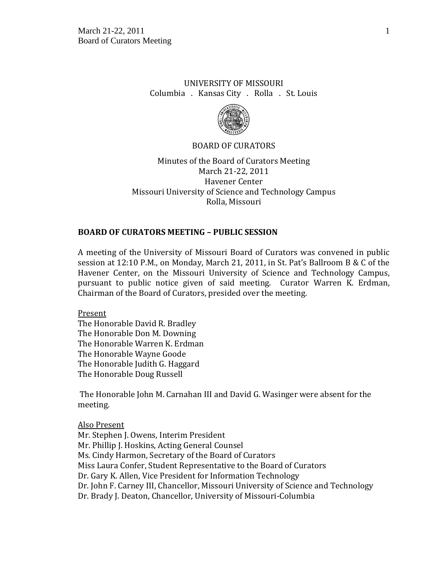# UNIVERSITY OF MISSOURI Columbia . Kansas City . Rolla . St. Louis



#### BOARD OF CURATORS

Minutes of the Board of Curators Meeting March 21-22, 2011 Havener Center Missouri University of Science and Technology Campus Rolla, Missouri

#### **BOARD OF CURATORS MEETING – PUBLIC SESSION**

A meeting of the University of Missouri Board of Curators was convened in public session at 12:10 P.M., on Monday, March 21, 2011, in St. Pat's Ballroom B & C of the Havener Center, on the Missouri University of Science and Technology Campus, pursuant to public notice given of said meeting. Curator Warren K. Erdman, Chairman of the Board of Curators, presided over the meeting.

Present The Honorable David R. Bradley The Honorable Don M. Downing The Honorable Warren K. Erdman The Honorable Wayne Goode The Honorable Judith G. Haggard The Honorable Doug Russell

The Honorable John M. Carnahan III and David G. Wasinger were absent for the meeting.

Also Present Mr. Stephen J. Owens, Interim President Mr. Phillip J. Hoskins, Acting General Counsel Ms. Cindy Harmon, Secretary of the Board of Curators Miss Laura Confer, Student Representative to the Board of Curators Dr. Gary K. Allen, Vice President for Information Technology Dr. John F. Carney III, Chancellor, Missouri University of Science and Technology Dr. Brady J. Deaton, Chancellor, University of Missouri-Columbia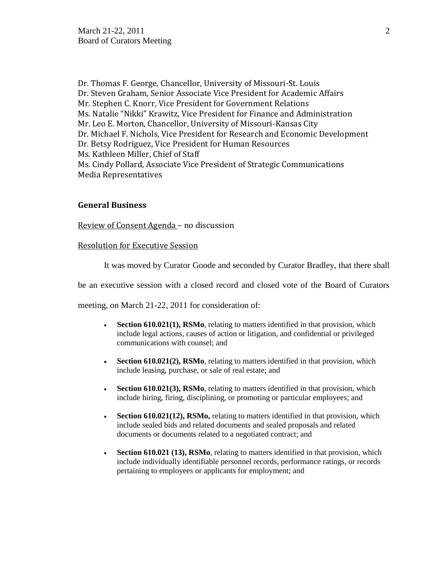Dr. Thomas F. George, Chancellor, University of Missouri-St. Louis Dr. Steven Graham, Senior Associate Vice President for Academic Affairs Mr. Stephen C. Knorr, Vice President for Government Relations Ms. Natalie "Nikki" Krawitz, Vice President for Finance and Administration Mr. Leo E. Morton, Chancellor, University of Missouri-Kansas City Dr. Michael F. Nichols, Vice President for Research and Economic Development Dr. Betsy Rodriguez, Vice President for Human Resources Ms. Kathleen Miller, Chief of Staff Ms. Cindy Pollard, Associate Vice President of Strategic Communications Media Representatives

#### **General Business**

Review of Consent Agenda – no discussion

#### Resolution for Executive Session

It was moved by Curator Goode and seconded by Curator Bradley, that there shall

be an executive session with a closed record and closed vote of the Board of Curators

meeting, on March 21-22, 2011 for consideration of:

- **Section 610.021(1), RSMo**, relating to matters identified in that provision, which include legal actions, causes of action or litigation, and confidential or privileged communications with counsel; and
- **Section 610.021(2), RSMo**, relating to matters identified in that provision, which include leasing, purchase, or sale of real estate; and
- **Section 610.021(3), RSMo**, relating to matters identified in that provision, which include hiring, firing, disciplining, or promoting or particular employees; and
- Section 610.021(12), RSMo, relating to matters identified in that provision, which include sealed bids and related documents and sealed proposals and related documents or documents related to a negotiated contract; and
- **Section 610.021 (13), RSMo**, relating to matters identified in that provision, which include individually identifiable personnel records, performance ratings, or records pertaining to employees or applicants for employment; and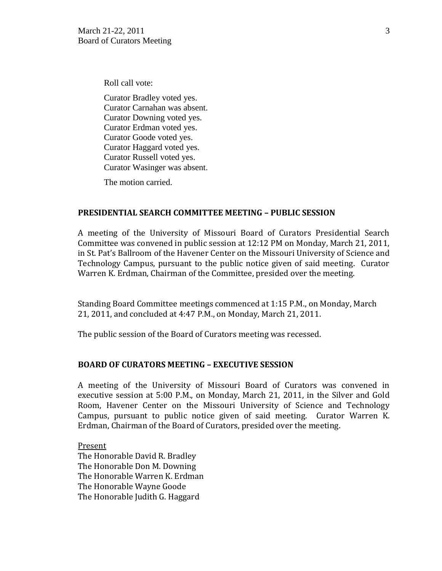Roll call vote:

Curator Bradley voted yes. Curator Carnahan was absent. Curator Downing voted yes. Curator Erdman voted yes. Curator Goode voted yes. Curator Haggard voted yes. Curator Russell voted yes. Curator Wasinger was absent.

The motion carried.

#### **PRESIDENTIAL SEARCH COMMITTEE MEETING – PUBLIC SESSION**

A meeting of the University of Missouri Board of Curators Presidential Search Committee was convened in public session at 12:12 PM on Monday, March 21, 2011, in St. Pat's Ballroom of the Havener Center on the Missouri University of Science and Technology Campus, pursuant to the public notice given of said meeting. Curator Warren K. Erdman, Chairman of the Committee, presided over the meeting.

Standing Board Committee meetings commenced at 1:15 P.M., on Monday, March 21, 2011, and concluded at 4:47 P.M., on Monday, March 21, 2011.

The public session of the Board of Curators meeting was recessed.

# **BOARD OF CURATORS MEETING – EXECUTIVE SESSION**

A meeting of the University of Missouri Board of Curators was convened in executive session at 5:00 P.M., on Monday, March 21, 2011, in the Silver and Gold Room, Havener Center on the Missouri University of Science and Technology Campus, pursuant to public notice given of said meeting. Curator Warren K. Erdman, Chairman of the Board of Curators, presided over the meeting.

Present The Honorable David R. Bradley The Honorable Don M. Downing The Honorable Warren K. Erdman The Honorable Wayne Goode The Honorable Judith G. Haggard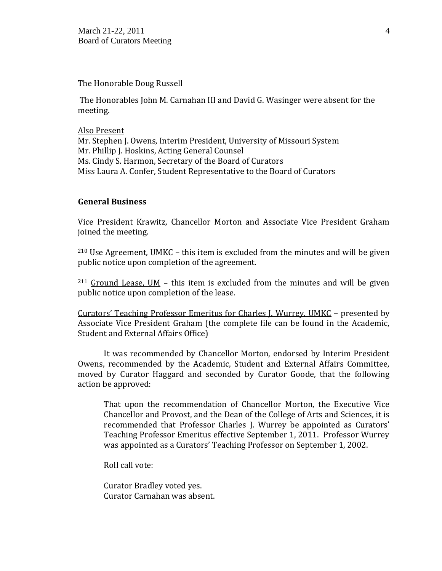March 21-22, 2011  $\frac{4}{3}$ Board of Curators Meeting

The Honorable Doug Russell

The Honorables John M. Carnahan III and David G. Wasinger were absent for the meeting.

Also Present Mr. Stephen J. Owens, Interim President, University of Missouri System Mr. Phillip J. Hoskins, Acting General Counsel Ms. Cindy S. Harmon, Secretary of the Board of Curators Miss Laura A. Confer, Student Representative to the Board of Curators

## **General Business**

Vice President Krawitz, Chancellor Morton and Associate Vice President Graham joined the meeting.

 $210$  Use Agreement, UMKC – this item is excluded from the minutes and will be given public notice upon completion of the agreement.

 $211$  Ground Lease, UM – this item is excluded from the minutes and will be given public notice upon completion of the lease.

Curators' Teaching Professor Emeritus for Charles J. Wurrey, UMKC – presented by Associate Vice President Graham (the complete file can be found in the Academic, Student and External Affairs Office)

It was recommended by Chancellor Morton, endorsed by Interim President Owens, recommended by the Academic, Student and External Affairs Committee, moved by Curator Haggard and seconded by Curator Goode, that the following action be approved:

That upon the recommendation of Chancellor Morton, the Executive Vice Chancellor and Provost, and the Dean of the College of Arts and Sciences, it is recommended that Professor Charles J. Wurrey be appointed as Curators' Teaching Professor Emeritus effective September 1, 2011. Professor Wurrey was appointed as a Curators' Teaching Professor on September 1, 2002.

Roll call vote:

Curator Bradley voted yes. Curator Carnahan was absent.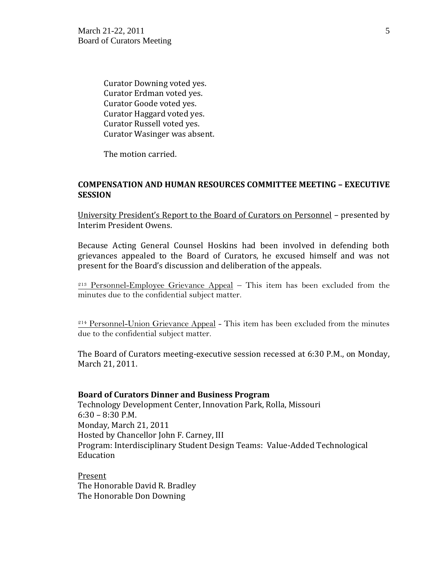Curator Downing voted yes. Curator Erdman voted yes. Curator Goode voted yes. Curator Haggard voted yes. Curator Russell voted yes. Curator Wasinger was absent.

The motion carried.

## **COMPENSATION AND HUMAN RESOURCES COMMITTEE MEETING – EXECUTIVE SESSION**

University President's Report to the Board of Curators on Personnel – presented by Interim President Owens.

Because Acting General Counsel Hoskins had been involved in defending both grievances appealed to the Board of Curators, he excused himself and was not present for the Board's discussion and deliberation of the appeals.

<sup>213</sup> Personnel-Employee Grievance Appeal – This item has been excluded from the minutes due to the confidential subject matter.

 $214$  Personnel-Union Grievance Appeal - This item has been excluded from the minutes due to the confidential subject matter.

The Board of Curators meeting-executive session recessed at 6:30 P.M., on Monday, March 21, 2011.

#### **Board of Curators Dinner and Business Program**

Technology Development Center, Innovation Park, Rolla, Missouri 6:30 – 8:30 P.M. Monday, March 21, 2011 Hosted by Chancellor John F. Carney, III Program: Interdisciplinary Student Design Teams: Value-Added Technological Education

Present The Honorable David R. Bradley The Honorable Don Downing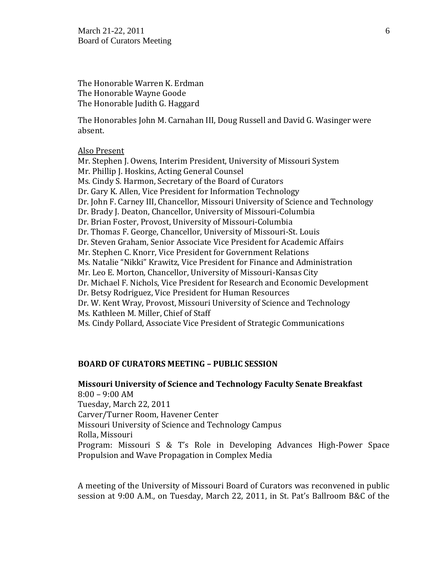The Honorable Warren K. Erdman The Honorable Wayne Goode The Honorable Judith G. Haggard

The Honorables John M. Carnahan III, Doug Russell and David G. Wasinger were absent.

#### Also Present

Mr. Stephen J. Owens, Interim President, University of Missouri System Mr. Phillip J. Hoskins, Acting General Counsel Ms. Cindy S. Harmon, Secretary of the Board of Curators Dr. Gary K. Allen, Vice President for Information Technology Dr. John F. Carney III, Chancellor, Missouri University of Science and Technology Dr. Brady J. Deaton, Chancellor, University of Missouri-Columbia Dr. Brian Foster, Provost, University of Missouri-Columbia Dr. Thomas F. George, Chancellor, University of Missouri-St. Louis Dr. Steven Graham, Senior Associate Vice President for Academic Affairs Mr. Stephen C. Knorr, Vice President for Government Relations Ms. Natalie "Nikki" Krawitz, Vice President for Finance and Administration Mr. Leo E. Morton, Chancellor, University of Missouri-Kansas City Dr. Michael F. Nichols, Vice President for Research and Economic Development Dr. Betsy Rodriguez, Vice President for Human Resources Dr. W. Kent Wray, Provost, Missouri University of Science and Technology Ms. Kathleen M. Miller, Chief of Staff Ms. Cindy Pollard, Associate Vice President of Strategic Communications

#### **BOARD OF CURATORS MEETING – PUBLIC SESSION**

**Missouri University of Science and Technology Faculty Senate Breakfast** 8:00 – 9:00 AM Tuesday, March 22, 2011 Carver/Turner Room, Havener Center Missouri University of Science and Technology Campus Rolla, Missouri Program: Missouri S & T's Role in Developing Advances High-Power Space Propulsion and Wave Propagation in Complex Media

A meeting of the University of Missouri Board of Curators was reconvened in public session at 9:00 A.M., on Tuesday, March 22, 2011, in St. Pat's Ballroom B&C of the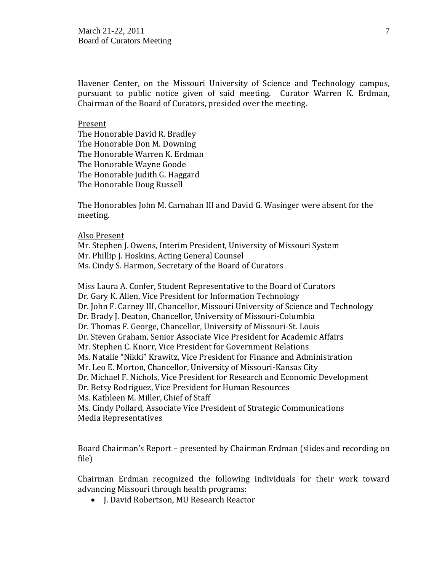Havener Center, on the Missouri University of Science and Technology campus, pursuant to public notice given of said meeting. Curator Warren K. Erdman, Chairman of the Board of Curators, presided over the meeting.

#### Present

The Honorable David R. Bradley The Honorable Don M. Downing The Honorable Warren K. Erdman The Honorable Wayne Goode The Honorable Judith G. Haggard The Honorable Doug Russell

The Honorables John M. Carnahan III and David G. Wasinger were absent for the meeting.

#### Also Present

Mr. Stephen J. Owens, Interim President, University of Missouri System Mr. Phillip J. Hoskins, Acting General Counsel Ms. Cindy S. Harmon, Secretary of the Board of Curators

Miss Laura A. Confer, Student Representative to the Board of Curators Dr. Gary K. Allen, Vice President for Information Technology Dr. John F. Carney III, Chancellor, Missouri University of Science and Technology Dr. Brady J. Deaton, Chancellor, University of Missouri-Columbia Dr. Thomas F. George, Chancellor, University of Missouri-St. Louis Dr. Steven Graham, Senior Associate Vice President for Academic Affairs Mr. Stephen C. Knorr, Vice President for Government Relations Ms. Natalie "Nikki" Krawitz, Vice President for Finance and Administration Mr. Leo E. Morton, Chancellor, University of Missouri-Kansas City Dr. Michael F. Nichols, Vice President for Research and Economic Development Dr. Betsy Rodriguez, Vice President for Human Resources Ms. Kathleen M. Miller, Chief of Staff Ms. Cindy Pollard, Associate Vice President of Strategic Communications Media Representatives

Board Chairman's Report – presented by Chairman Erdman (slides and recording on file)

Chairman Erdman recognized the following individuals for their work toward advancing Missouri through health programs:

• I. David Robertson, MU Research Reactor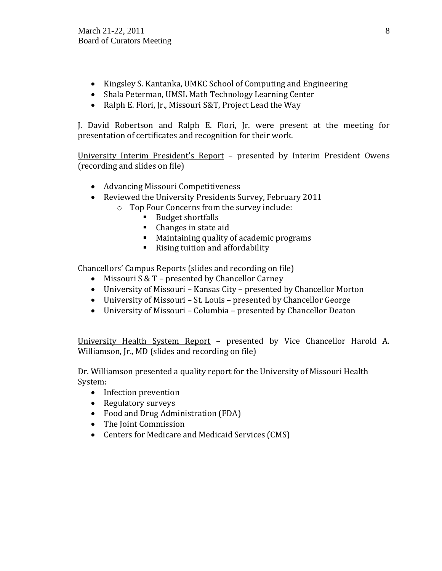- Kingsley S. Kantanka, UMKC School of Computing and Engineering
- Shala Peterman, UMSL Math Technology Learning Center
- Ralph E. Flori, Jr., Missouri S&T, Project Lead the Way

J. David Robertson and Ralph E. Flori, Jr. were present at the meeting for presentation of certificates and recognition for their work.

University Interim President's Report – presented by Interim President Owens (recording and slides on file)

- Advancing Missouri Competitiveness
- Reviewed the University Presidents Survey, February 2011
	- o Top Four Concerns from the survey include:
		- Budget shortfalls
		- Changes in state aid
		- **Maintaining quality of academic programs**
		- Rising tuition and affordability

Chancellors' Campus Reports (slides and recording on file)

- Missouri S & T presented by Chancellor Carney
- University of Missouri Kansas City presented by Chancellor Morton
- University of Missouri St. Louis presented by Chancellor George
- University of Missouri Columbia presented by Chancellor Deaton

University Health System Report – presented by Vice Chancellor Harold A. Williamson, Jr., MD (slides and recording on file)

Dr. Williamson presented a quality report for the University of Missouri Health System:

- Infection prevention
- Regulatory surveys
- Food and Drug Administration (FDA)
- The Joint Commission
- Centers for Medicare and Medicaid Services (CMS)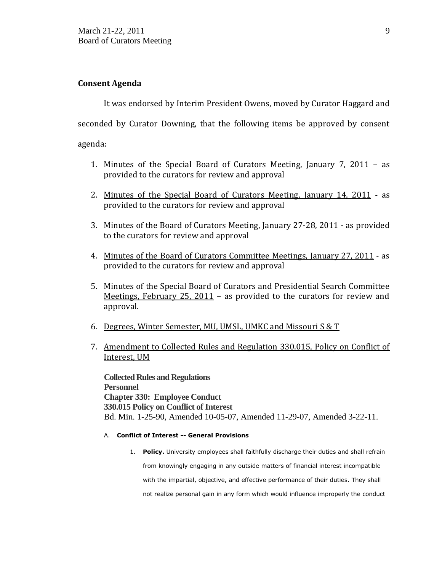## **Consent Agenda**

It was endorsed by Interim President Owens, moved by Curator Haggard and seconded by Curator Downing, that the following items be approved by consent agenda:

- 1. Minutes of the Special Board of Curators Meeting, January 7, 2011 as provided to the curators for review and approval
- 2. Minutes of the Special Board of Curators Meeting, January 14, 2011 as provided to the curators for review and approval
- 3. Minutes of the Board of Curators Meeting, January 27-28, 2011 as provided to the curators for review and approval
- 4. Minutes of the Board of Curators Committee Meetings, January 27, 2011 as provided to the curators for review and approval
- 5. Minutes of the Special Board of Curators and Presidential Search Committee Meetings, February 25, 2011 – as provided to the curators for review and approval.
- 6. Degrees, Winter Semester, MU, UMSL, UMKC and Missouri S & T
- 7. Amendment to Collected Rules and Regulation 330.015, Policy on Conflict of Interest, UM

**Collected Rules and Regulations Personnel Chapter 330: Employee Conduct 330.015 Policy on Conflict of Interest** Bd. Min. 1-25-90, Amended 10-05-07, Amended 11-29-07, Amended 3-22-11.

#### A. **Conflict of Interest -- General Provisions**

1. **Policy.** University employees shall faithfully discharge their duties and shall refrain from knowingly engaging in any outside matters of financial interest incompatible with the impartial, objective, and effective performance of their duties. They shall not realize personal gain in any form which would influence improperly the conduct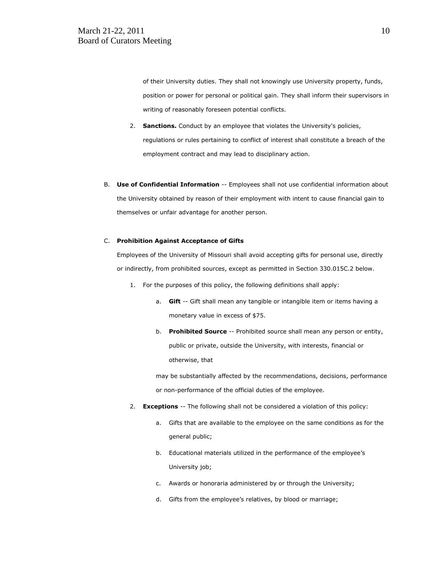of their University duties. They shall not knowingly use University property, funds, position or power for personal or political gain. They shall inform their supervisors in writing of reasonably foreseen potential conflicts.

- 2. **Sanctions.** Conduct by an employee that violates the University's policies, regulations or rules pertaining to conflict of interest shall constitute a breach of the employment contract and may lead to disciplinary action.
- B. **Use of Confidential Information** -- Employees shall not use confidential information about the University obtained by reason of their employment with intent to cause financial gain to themselves or unfair advantage for another person.

#### C. **Prohibition Against Acceptance of Gifts**

Employees of the University of Missouri shall avoid accepting gifts for personal use, directly or indirectly, from prohibited sources, except as permitted in Section 330.015C.2 below.

- 1. For the purposes of this policy, the following definitions shall apply:
	- a. **Gift** -- Gift shall mean any tangible or intangible item or items having a monetary value in excess of \$75.
	- b. **Prohibited Source** -- Prohibited source shall mean any person or entity, public or private, outside the University, with interests, financial or otherwise, that

may be substantially affected by the recommendations, decisions, performance or non-performance of the official duties of the employee.

- 2. **Exceptions** -- The following shall not be considered a violation of this policy:
	- a. Gifts that are available to the employee on the same conditions as for the general public;
	- b. Educational materials utilized in the performance of the employee's University job;
	- c. Awards or honoraria administered by or through the University;
	- d. Gifts from the employee's relatives, by blood or marriage;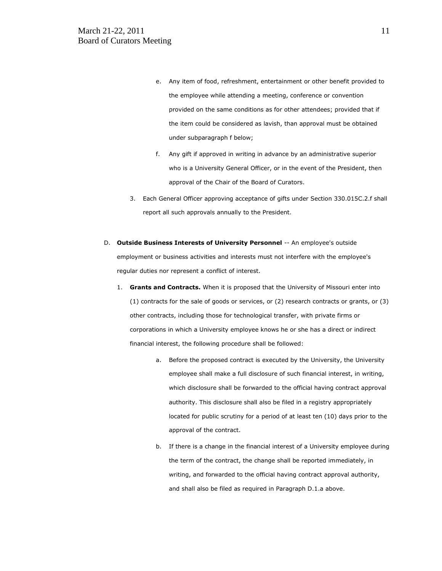- e. Any item of food, refreshment, entertainment or other benefit provided to the employee while attending a meeting, conference or convention provided on the same conditions as for other attendees; provided that if the item could be considered as lavish, than approval must be obtained under subparagraph f below;
- f. Any gift if approved in writing in advance by an administrative superior who is a University General Officer, or in the event of the President, then approval of the Chair of the Board of Curators.
- 3. Each General Officer approving acceptance of gifts under Section 330.015C.2.f shall report all such approvals annually to the President.
- D. **Outside Business Interests of University Personnel** -- An employee's outside employment or business activities and interests must not interfere with the employee's regular duties nor represent a conflict of interest.
	- 1. **Grants and Contracts.** When it is proposed that the University of Missouri enter into (1) contracts for the sale of goods or services, or (2) research contracts or grants, or (3) other contracts, including those for technological transfer, with private firms or corporations in which a University employee knows he or she has a direct or indirect financial interest, the following procedure shall be followed:
		- a. Before the proposed contract is executed by the University, the University employee shall make a full disclosure of such financial interest, in writing, which disclosure shall be forwarded to the official having contract approval authority. This disclosure shall also be filed in a registry appropriately located for public scrutiny for a period of at least ten (10) days prior to the approval of the contract.
		- b. If there is a change in the financial interest of a University employee during the term of the contract, the change shall be reported immediately, in writing, and forwarded to the official having contract approval authority, and shall also be filed as required in Paragraph D.1.a above.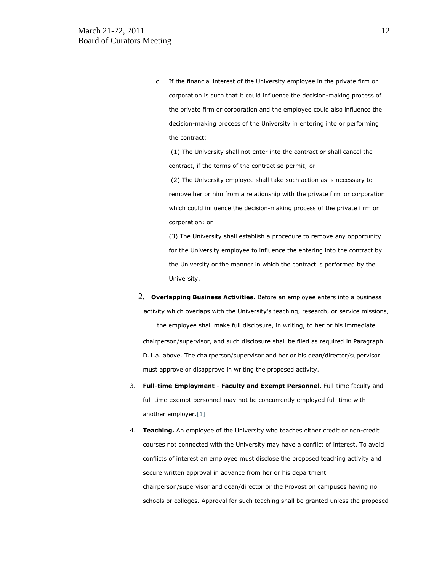c. If the financial interest of the University employee in the private firm or corporation is such that it could influence the decision-making process of the private firm or corporation and the employee could also influence the decision-making process of the University in entering into or performing the contract:

(1) The University shall not enter into the contract or shall cancel the contract, if the terms of the contract so permit; or

(2) The University employee shall take such action as is necessary to remove her or him from a relationship with the private firm or corporation which could influence the decision-making process of the private firm or corporation; or

(3) The University shall establish a procedure to remove any opportunity for the University employee to influence the entering into the contract by the University or the manner in which the contract is performed by the University.

2. **Overlapping Business Activities.** Before an employee enters into a business activity which overlaps with the University's teaching, research, or service missions,

the employee shall make full disclosure, in writing, to her or his immediate chairperson/supervisor, and such disclosure shall be filed as required in Paragraph D.1.a. above. The chairperson/supervisor and her or his dean/director/supervisor must approve or disapprove in writing the proposed activity.

- 3. **Full-time Employment - Faculty and Exempt Personnel.** Full-time faculty and full-time exempt personnel may not be concurrently employed full-time with another employer. [1]
- 4. **Teaching.** An employee of the University who teaches either credit or non-credit courses not connected with the University may have a conflict of interest. To avoid conflicts of interest an employee must disclose the proposed teaching activity and secure written approval in advance from her or his department chairperson/supervisor and dean/director or the Provost on campuses having no schools or colleges. Approval for such teaching shall be granted unless the proposed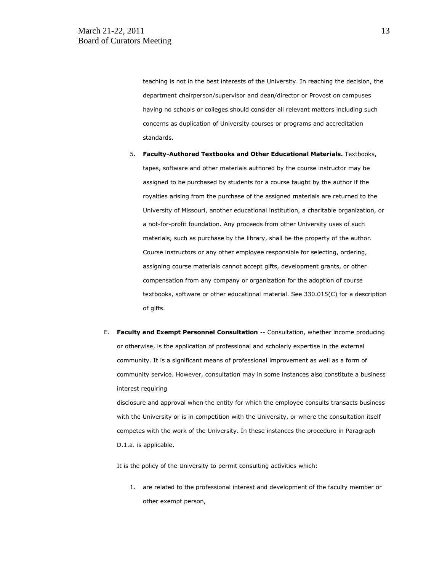teaching is not in the best interests of the University. In reaching the decision, the department chairperson/supervisor and dean/director or Provost on campuses having no schools or colleges should consider all relevant matters including such concerns as duplication of University courses or programs and accreditation standards.

- 5. **Faculty-Authored Textbooks and Other Educational Materials.** Textbooks, tapes, software and other materials authored by the course instructor may be assigned to be purchased by students for a course taught by the author if the royalties arising from the purchase of the assigned materials are returned to the University of Missouri, another educational institution, a charitable organization, or a not-for-profit foundation. Any proceeds from other University uses of such materials, such as purchase by the library, shall be the property of the author. Course instructors or any other employee responsible for selecting, ordering, assigning course materials cannot accept gifts, development grants, or other compensation from any company or organization for the adoption of course textbooks, software or other educational material. See 330.015(C) for a description of gifts.
- E. **Faculty and Exempt Personnel Consultation** -- Consultation, whether income producing or otherwise, is the application of professional and scholarly expertise in the external community. It is a significant means of professional improvement as well as a form of community service. However, consultation may in some instances also constitute a business interest requiring

disclosure and approval when the entity for which the employee consults transacts business with the University or is in competition with the University, or where the consultation itself competes with the work of the University. In these instances the procedure in Paragraph D.1.a. is applicable.

It is the policy of the University to permit consulting activities which:

1. are related to the professional interest and development of the faculty member or other exempt person,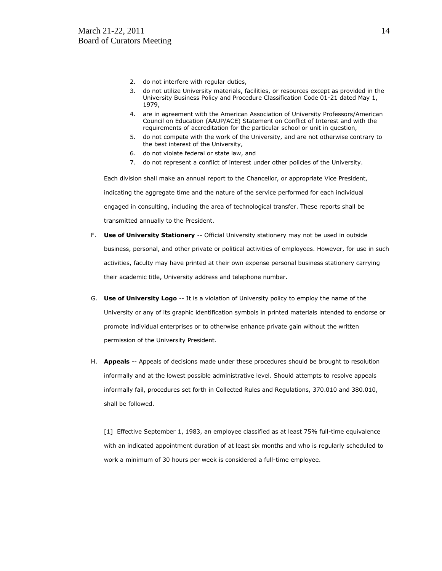- 2. do not interfere with regular duties,
- 3. do not utilize University materials, facilities, or resources except as provided in the University Business Policy and Procedure Classification Code 01-21 dated May 1, 1979,
- 4. are in agreement with the American Association of University Professors/American Council on Education (AAUP/ACE) Statement on Conflict of Interest and with the requirements of accreditation for the particular school or unit in question,
- 5. do not compete with the work of the University, and are not otherwise contrary to the best interest of the University,
- 6. do not violate federal or state law, and
- 7. do not represent a conflict of interest under other policies of the University.

Each division shall make an annual report to the Chancellor, or appropriate Vice President, indicating the aggregate time and the nature of the service performed for each individual engaged in consulting, including the area of technological transfer. These reports shall be transmitted annually to the President.

- F. **Use of University Stationery** -- Official University stationery may not be used in outside business, personal, and other private or political activities of employees. However, for use in such activities, faculty may have printed at their own expense personal business stationery carrying their academic title, University address and telephone number.
- G. **Use of University Logo** -- It is a violation of University policy to employ the name of the University or any of its graphic identification symbols in printed materials intended to endorse or promote individual enterprises or to otherwise enhance private gain without the written permission of the University President.
- H. **Appeals** -- Appeals of decisions made under these procedures should be brought to resolution informally and at the lowest possible administrative level. Should attempts to resolve appeals informally fail, procedures set forth in Collected Rules and Regulations, 370.010 and 380.010, shall be followed.

[1] Effective September 1, 1983, an employee classified as at least 75% full-time equivalence with an indicated appointment duration of at least six months and who is regularly scheduled to work a minimum of 30 hours per week is considered a full-time employee.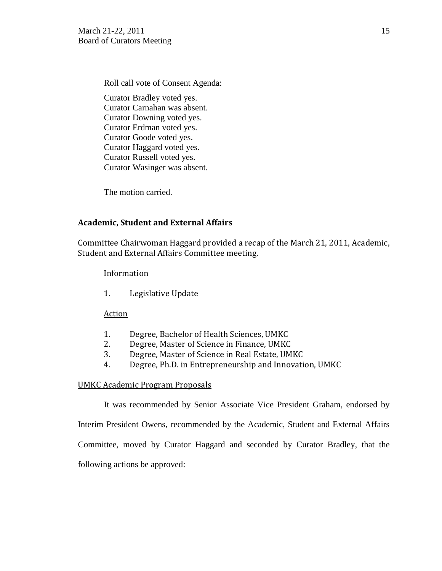Roll call vote of Consent Agenda:

Curator Bradley voted yes. Curator Carnahan was absent. Curator Downing voted yes. Curator Erdman voted yes. Curator Goode voted yes. Curator Haggard voted yes. Curator Russell voted yes. Curator Wasinger was absent.

The motion carried.

# **Academic, Student and External Affairs**

Committee Chairwoman Haggard provided a recap of the March 21, 2011, Academic, Student and External Affairs Committee meeting.

## **Information**

1. Legislative Update

# Action

- 1. Degree, Bachelor of Health Sciences, UMKC
- 2. Degree, Master of Science in Finance, UMKC
- 3. Degree, Master of Science in Real Estate, UMKC
- 4. Degree, Ph.D. in Entrepreneurship and Innovation, UMKC

#### UMKC Academic Program Proposals

It was recommended by Senior Associate Vice President Graham, endorsed by

Interim President Owens, recommended by the Academic, Student and External Affairs

Committee, moved by Curator Haggard and seconded by Curator Bradley, that the

following actions be approved: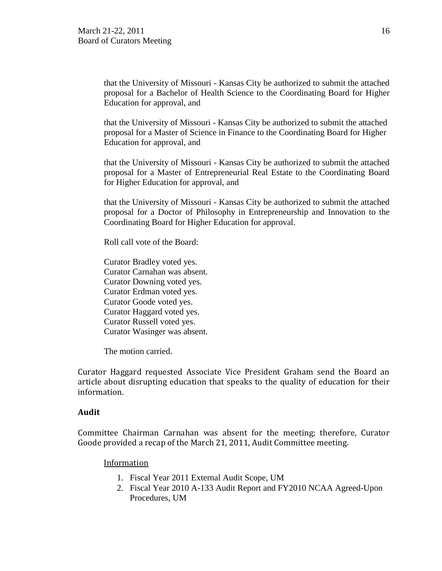that the University of Missouri - Kansas City be authorized to submit the attached proposal for a Bachelor of Health Science to the Coordinating Board for Higher Education for approval, and

that the University of Missouri - Kansas City be authorized to submit the attached proposal for a Master of Science in Finance to the Coordinating Board for Higher Education for approval, and

that the University of Missouri - Kansas City be authorized to submit the attached proposal for a Master of Entrepreneurial Real Estate to the Coordinating Board for Higher Education for approval, and

that the University of Missouri - Kansas City be authorized to submit the attached proposal for a Doctor of Philosophy in Entrepreneurship and Innovation to the Coordinating Board for Higher Education for approval.

Roll call vote of the Board:

Curator Bradley voted yes. Curator Carnahan was absent. Curator Downing voted yes. Curator Erdman voted yes. Curator Goode voted yes. Curator Haggard voted yes. Curator Russell voted yes. Curator Wasinger was absent.

The motion carried.

Curator Haggard requested Associate Vice President Graham send the Board an article about disrupting education that speaks to the quality of education for their information.

#### **Audit**

Committee Chairman Carnahan was absent for the meeting; therefore, Curator Goode provided a recap of the March 21, 2011, Audit Committee meeting.

#### **Information**

- 1. Fiscal Year 2011 External Audit Scope, UM
- 2. Fiscal Year 2010 A-133 Audit Report and FY2010 NCAA Agreed-Upon Procedures, UM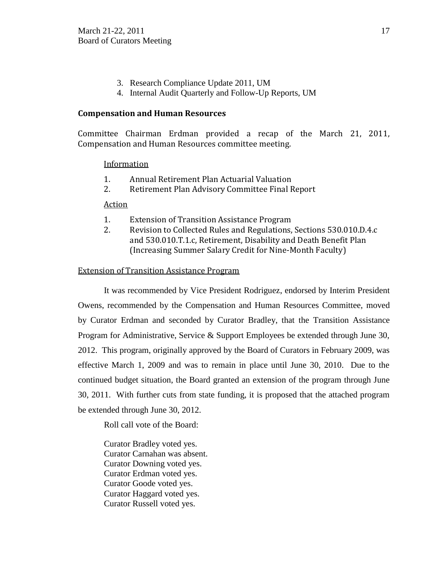- 3. Research Compliance Update 2011, UM
- 4. Internal Audit Quarterly and Follow-Up Reports, UM

## **Compensation and Human Resources**

Committee Chairman Erdman provided a recap of the March 21, 2011, Compensation and Human Resources committee meeting.

#### Information

- 1. Annual Retirement Plan Actuarial Valuation
- 2. Retirement Plan Advisory Committee Final Report

#### Action

- 1. Extension of Transition Assistance Program
- 2. Revision to Collected Rules and Regulations, Sections 530.010.D.4.c and 530.010.T.1.c, Retirement, Disability and Death Benefit Plan (Increasing Summer Salary Credit for Nine-Month Faculty)

## Extension of Transition Assistance Program

It was recommended by Vice President Rodriguez, endorsed by Interim President Owens, recommended by the Compensation and Human Resources Committee, moved by Curator Erdman and seconded by Curator Bradley, that the Transition Assistance Program for Administrative, Service & Support Employees be extended through June 30, 2012. This program, originally approved by the Board of Curators in February 2009, was effective March 1, 2009 and was to remain in place until June 30, 2010. Due to the continued budget situation, the Board granted an extension of the program through June 30, 2011. With further cuts from state funding, it is proposed that the attached program be extended through June 30, 2012.

Roll call vote of the Board:

Curator Bradley voted yes. Curator Carnahan was absent. Curator Downing voted yes. Curator Erdman voted yes. Curator Goode voted yes. Curator Haggard voted yes. Curator Russell voted yes.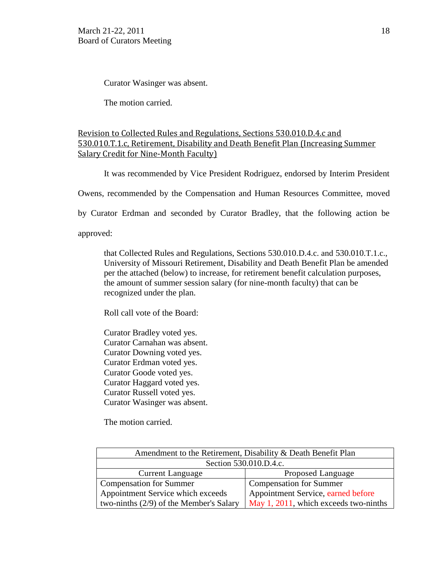Curator Wasinger was absent.

The motion carried.

# Revision to Collected Rules and Regulations, Sections 530.010.D.4.c and 530.010.T.1.c, Retirement, Disability and Death Benefit Plan (Increasing Summer Salary Credit for Nine-Month Faculty)

It was recommended by Vice President Rodriguez, endorsed by Interim President

Owens, recommended by the Compensation and Human Resources Committee, moved

by Curator Erdman and seconded by Curator Bradley, that the following action be

approved:

that Collected Rules and Regulations, Sections 530.010.D.4.c. and 530.010.T.1.c., University of Missouri Retirement, Disability and Death Benefit Plan be amended per the attached (below) to increase, for retirement benefit calculation purposes, the amount of summer session salary (for nine-month faculty) that can be recognized under the plan.

Roll call vote of the Board:

Curator Bradley voted yes. Curator Carnahan was absent. Curator Downing voted yes. Curator Erdman voted yes. Curator Goode voted yes. Curator Haggard voted yes. Curator Russell voted yes. Curator Wasinger was absent.

The motion carried.

| Amendment to the Retirement, Disability & Death Benefit Plan |                                       |  |
|--------------------------------------------------------------|---------------------------------------|--|
| Section 530.010.D.4.c.                                       |                                       |  |
| <b>Current Language</b>                                      | Proposed Language                     |  |
| Compensation for Summer                                      | Compensation for Summer               |  |
| Appointment Service which exceeds                            | Appointment Service, earned before    |  |
| two-ninths $(2/9)$ of the Member's Salary                    | May 1, 2011, which exceeds two-ninths |  |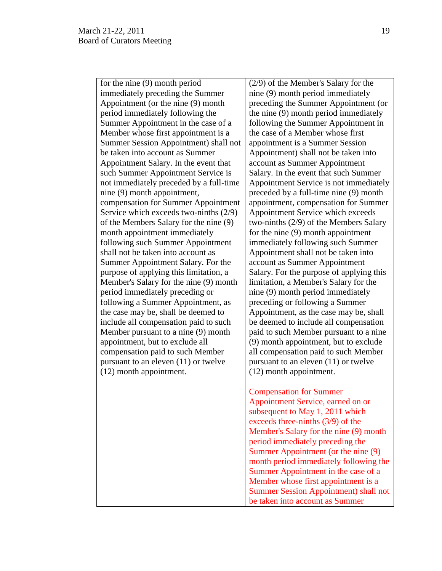for the nine (9) month period immediately preceding the Summer Appointment (or the nine (9) month period immediately following the Summer Appointment in the case of a Member whose first appointment is a Summer Session Appointment) shall not be taken into account as Summer Appointment Salary. In the event that such Summer Appointment Service is not immediately preceded by a full-time nine (9) month appointment, compensation for Summer Appointment Service which exceeds two-ninths (2/9) of the Members Salary for the nine (9) month appointment immediately following such Summer Appointment shall not be taken into account as Summer Appointment Salary. For the purpose of applying this limitation, a Member's Salary for the nine (9) month period immediately preceding or following a Summer Appointment, as the case may be, shall be deemed to include all compensation paid to such Member pursuant to a nine (9) month appointment, but to exclude all compensation paid to such Member pursuant to an eleven (11) or twelve (12) month appointment.

(2/9) of the Member's Salary for the nine (9) month period immediately preceding the Summer Appointment (or the nine (9) month period immediately following the Summer Appointment in the case of a Member whose first appointment is a Summer Session Appointment) shall not be taken into account as Summer Appointment Salary. In the event that such Summer Appointment Service is not immediately preceded by a full-time nine (9) month appointment, compensation for Summer Appointment Service which exceeds two-ninths (2/9) of the Members Salary for the nine (9) month appointment immediately following such Summer Appointment shall not be taken into account as Summer Appointment Salary. For the purpose of applying this limitation, a Member's Salary for the nine (9) month period immediately preceding or following a Summer Appointment, as the case may be, shall be deemed to include all compensation paid to such Member pursuant to a nine (9) month appointment, but to exclude all compensation paid to such Member pursuant to an eleven (11) or twelve (12) month appointment.

Compensation for Summer Appointment Service, earned on or subsequent to May 1, 2011 which exceeds three-ninths (3/9) of the Member's Salary for the nine (9) month period immediately preceding the Summer Appointment (or the nine (9) month period immediately following the Summer Appointment in the case of a Member whose first appointment is a Summer Session Appointment) shall not be taken into account as Summer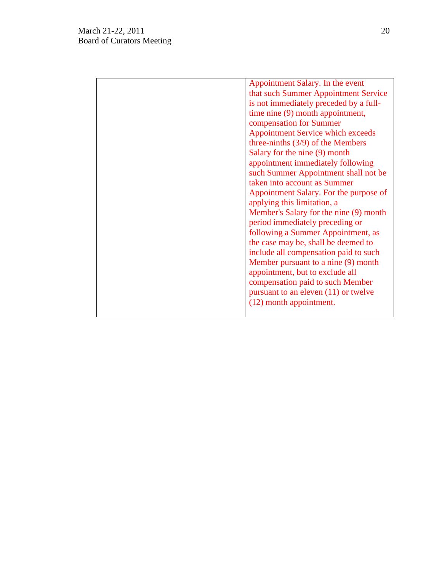| Appointment Salary. In the event<br>that such Summer Appointment Service<br>is not immediately preceded by a full-<br>time nine (9) month appointment,<br>compensation for Summer<br><b>Appointment Service which exceeds</b><br>three-ninths $(3/9)$ of the Members<br>Salary for the nine (9) month<br>appointment immediately following<br>such Summer Appointment shall not be<br>taken into account as Summer<br>Appointment Salary. For the purpose of<br>applying this limitation, a<br>Member's Salary for the nine (9) month<br>period immediately preceding or<br>following a Summer Appointment, as<br>the case may be, shall be deemed to |
|-------------------------------------------------------------------------------------------------------------------------------------------------------------------------------------------------------------------------------------------------------------------------------------------------------------------------------------------------------------------------------------------------------------------------------------------------------------------------------------------------------------------------------------------------------------------------------------------------------------------------------------------------------|
| include all compensation paid to such<br>Member pursuant to a nine (9) month<br>appointment, but to exclude all<br>compensation paid to such Member<br>pursuant to an eleven $(11)$ or twelve<br>(12) month appointment.                                                                                                                                                                                                                                                                                                                                                                                                                              |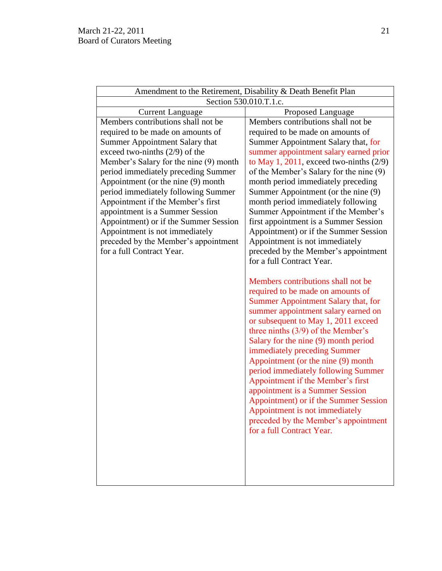| Amendment to the Retirement, Disability & Death Benefit Plan                                                                                                                                                                                                                                                                                                                                                                                                                                                                        |                                                                                                                                                                                                                                                                                                                                                                                                                                                                                                                                                                                                                                                |  |
|-------------------------------------------------------------------------------------------------------------------------------------------------------------------------------------------------------------------------------------------------------------------------------------------------------------------------------------------------------------------------------------------------------------------------------------------------------------------------------------------------------------------------------------|------------------------------------------------------------------------------------------------------------------------------------------------------------------------------------------------------------------------------------------------------------------------------------------------------------------------------------------------------------------------------------------------------------------------------------------------------------------------------------------------------------------------------------------------------------------------------------------------------------------------------------------------|--|
| Section 530.010.T.1.c.                                                                                                                                                                                                                                                                                                                                                                                                                                                                                                              |                                                                                                                                                                                                                                                                                                                                                                                                                                                                                                                                                                                                                                                |  |
| <b>Current Language</b>                                                                                                                                                                                                                                                                                                                                                                                                                                                                                                             | Proposed Language                                                                                                                                                                                                                                                                                                                                                                                                                                                                                                                                                                                                                              |  |
| Members contributions shall not be<br>required to be made on amounts of<br>Summer Appointment Salary that<br>exceed two-ninths $(2/9)$ of the<br>Member's Salary for the nine (9) month<br>period immediately preceding Summer<br>Appointment (or the nine (9) month<br>period immediately following Summer<br>Appointment if the Member's first<br>appointment is a Summer Session<br>Appointment) or if the Summer Session<br>Appointment is not immediately<br>preceded by the Member's appointment<br>for a full Contract Year. | Members contributions shall not be<br>required to be made on amounts of<br>Summer Appointment Salary that, for<br>summer appointment salary earned prior<br>to May 1, 2011, exceed two-ninths $(2/9)$<br>of the Member's Salary for the nine (9)<br>month period immediately preceding<br>Summer Appointment (or the nine (9)<br>month period immediately following<br>Summer Appointment if the Member's<br>first appointment is a Summer Session<br>Appointment) or if the Summer Session<br>Appointment is not immediately<br>preceded by the Member's appointment                                                                          |  |
|                                                                                                                                                                                                                                                                                                                                                                                                                                                                                                                                     | for a full Contract Year.<br>Members contributions shall not be<br>required to be made on amounts of<br>Summer Appointment Salary that, for<br>summer appointment salary earned on<br>or subsequent to May 1, 2011 exceed<br>three ninths $(3/9)$ of the Member's<br>Salary for the nine (9) month period<br>immediately preceding Summer<br>Appointment (or the nine (9) month<br>period immediately following Summer<br>Appointment if the Member's first<br>appointment is a Summer Session<br>Appointment) or if the Summer Session<br>Appointment is not immediately<br>preceded by the Member's appointment<br>for a full Contract Year. |  |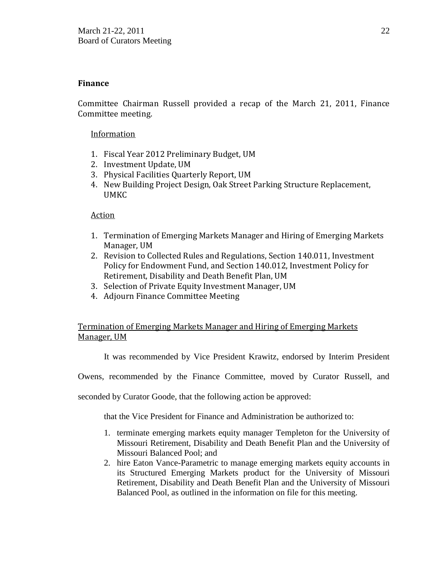## **Finance**

Committee Chairman Russell provided a recap of the March 21, 2011, Finance Committee meeting.

## **Information**

- 1. Fiscal Year 2012 Preliminary Budget, UM
- 2. Investment Update, UM
- 3. Physical Facilities Quarterly Report, UM
- 4. New Building Project Design, Oak Street Parking Structure Replacement, UMKC

## Action

- 1. Termination of Emerging Markets Manager and Hiring of Emerging Markets Manager, UM
- 2. Revision to Collected Rules and Regulations, Section 140.011, Investment Policy for Endowment Fund, and Section 140.012, Investment Policy for Retirement, Disability and Death Benefit Plan, UM
- 3. Selection of Private Equity Investment Manager, UM
- 4. Adjourn Finance Committee Meeting

# Termination of Emerging Markets Manager and Hiring of Emerging Markets Manager, UM

It was recommended by Vice President Krawitz, endorsed by Interim President

Owens, recommended by the Finance Committee, moved by Curator Russell, and

seconded by Curator Goode, that the following action be approved:

that the Vice President for Finance and Administration be authorized to:

- 1. terminate emerging markets equity manager Templeton for the University of Missouri Retirement, Disability and Death Benefit Plan and the University of Missouri Balanced Pool; and
- 2. hire Eaton Vance-Parametric to manage emerging markets equity accounts in its Structured Emerging Markets product for the University of Missouri Retirement, Disability and Death Benefit Plan and the University of Missouri Balanced Pool, as outlined in the information on file for this meeting.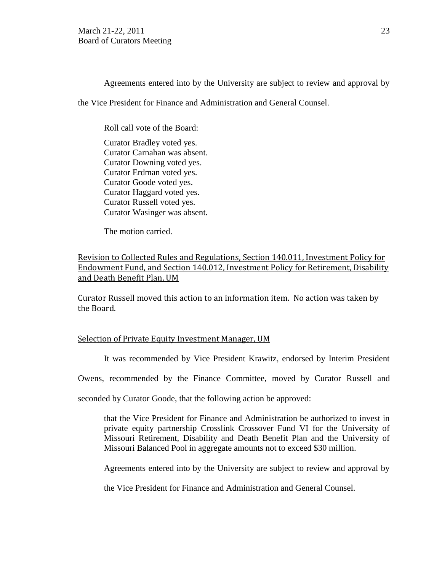Agreements entered into by the University are subject to review and approval by

the Vice President for Finance and Administration and General Counsel.

Roll call vote of the Board:

Curator Bradley voted yes. Curator Carnahan was absent. Curator Downing voted yes. Curator Erdman voted yes. Curator Goode voted yes. Curator Haggard voted yes. Curator Russell voted yes. Curator Wasinger was absent.

The motion carried.

Revision to Collected Rules and Regulations, Section 140.011, Investment Policy for Endowment Fund, and Section 140.012, Investment Policy for Retirement, Disability and Death Benefit Plan, UM

Curator Russell moved this action to an information item. No action was taken by the Board.

#### Selection of Private Equity Investment Manager, UM

It was recommended by Vice President Krawitz, endorsed by Interim President

Owens, recommended by the Finance Committee, moved by Curator Russell and

seconded by Curator Goode, that the following action be approved:

that the Vice President for Finance and Administration be authorized to invest in private equity partnership Crosslink Crossover Fund VI for the University of Missouri Retirement, Disability and Death Benefit Plan and the University of Missouri Balanced Pool in aggregate amounts not to exceed \$30 million.

Agreements entered into by the University are subject to review and approval by

the Vice President for Finance and Administration and General Counsel.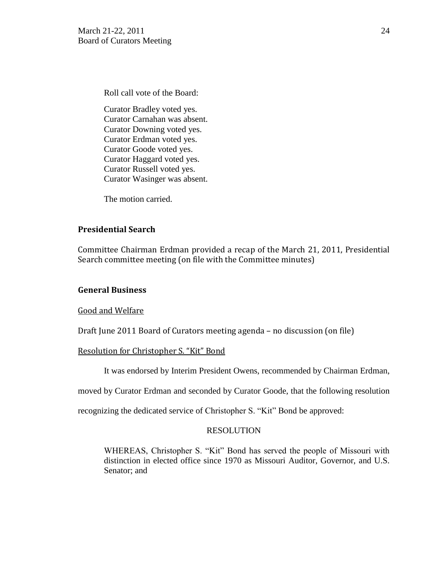Roll call vote of the Board:

Curator Bradley voted yes. Curator Carnahan was absent. Curator Downing voted yes. Curator Erdman voted yes. Curator Goode voted yes. Curator Haggard voted yes. Curator Russell voted yes. Curator Wasinger was absent.

The motion carried.

# **Presidential Search**

Committee Chairman Erdman provided a recap of the March 21, 2011, Presidential Search committee meeting (on file with the Committee minutes)

# **General Business**

Good and Welfare

Draft June 2011 Board of Curators meeting agenda – no discussion (on file)

# Resolution for Christopher S. "Kit" Bond

It was endorsed by Interim President Owens, recommended by Chairman Erdman,

moved by Curator Erdman and seconded by Curator Goode, that the following resolution

recognizing the dedicated service of Christopher S. "Kit" Bond be approved:

# RESOLUTION

WHEREAS, Christopher S. "Kit" Bond has served the people of Missouri with distinction in elected office since 1970 as Missouri Auditor, Governor, and U.S. Senator; and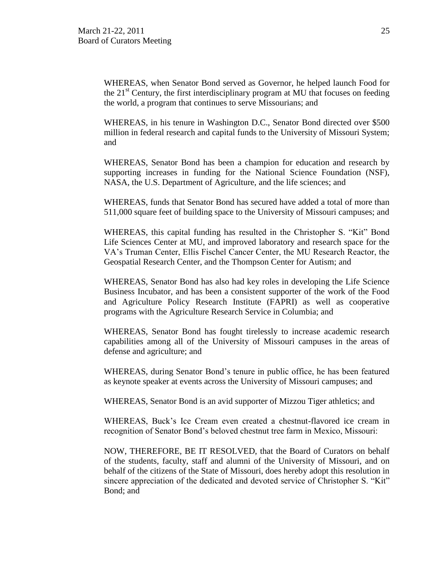WHEREAS, when Senator Bond served as Governor, he helped launch Food for the  $21<sup>st</sup>$  Century, the first interdisciplinary program at MU that focuses on feeding the world, a program that continues to serve Missourians; and

WHEREAS, in his tenure in Washington D.C., Senator Bond directed over \$500 million in federal research and capital funds to the University of Missouri System; and

WHEREAS, Senator Bond has been a champion for education and research by supporting increases in funding for the National Science Foundation (NSF), NASA, the U.S. Department of Agriculture, and the life sciences; and

WHEREAS, funds that Senator Bond has secured have added a total of more than 511,000 square feet of building space to the University of Missouri campuses; and

WHEREAS, this capital funding has resulted in the Christopher S. "Kit" Bond Life Sciences Center at MU, and improved laboratory and research space for the VA's Truman Center, Ellis Fischel Cancer Center, the MU Research Reactor, the Geospatial Research Center, and the Thompson Center for Autism; and

WHEREAS, Senator Bond has also had key roles in developing the Life Science Business Incubator, and has been a consistent supporter of the work of the Food and Agriculture Policy Research Institute (FAPRI) as well as cooperative programs with the Agriculture Research Service in Columbia; and

WHEREAS, Senator Bond has fought tirelessly to increase academic research capabilities among all of the University of Missouri campuses in the areas of defense and agriculture; and

WHEREAS, during Senator Bond's tenure in public office, he has been featured as keynote speaker at events across the University of Missouri campuses; and

WHEREAS, Senator Bond is an avid supporter of Mizzou Tiger athletics; and

WHEREAS, Buck's Ice Cream even created a chestnut-flavored ice cream in recognition of Senator Bond's beloved chestnut tree farm in Mexico, Missouri:

NOW, THEREFORE, BE IT RESOLVED, that the Board of Curators on behalf of the students, faculty, staff and alumni of the University of Missouri, and on behalf of the citizens of the State of Missouri, does hereby adopt this resolution in sincere appreciation of the dedicated and devoted service of Christopher S. "Kit" Bond; and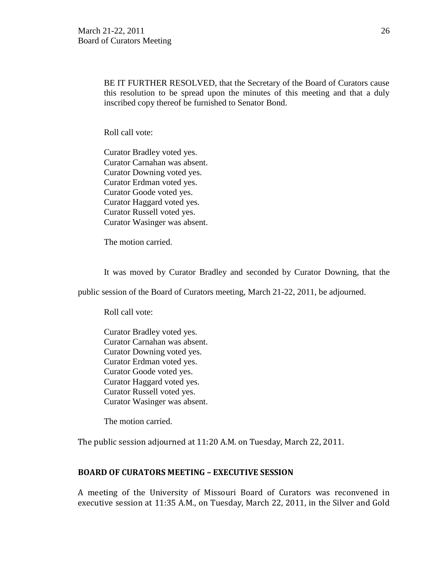BE IT FURTHER RESOLVED, that the Secretary of the Board of Curators cause this resolution to be spread upon the minutes of this meeting and that a duly inscribed copy thereof be furnished to Senator Bond.

Roll call vote:

Curator Bradley voted yes. Curator Carnahan was absent. Curator Downing voted yes. Curator Erdman voted yes. Curator Goode voted yes. Curator Haggard voted yes. Curator Russell voted yes. Curator Wasinger was absent.

The motion carried.

It was moved by Curator Bradley and seconded by Curator Downing, that the

public session of the Board of Curators meeting, March 21-22, 2011, be adjourned.

Roll call vote:

Curator Bradley voted yes. Curator Carnahan was absent. Curator Downing voted yes. Curator Erdman voted yes. Curator Goode voted yes. Curator Haggard voted yes. Curator Russell voted yes. Curator Wasinger was absent.

The motion carried.

The public session adjourned at 11:20 A.M. on Tuesday, March 22, 2011.

## **BOARD OF CURATORS MEETING – EXECUTIVE SESSION**

A meeting of the University of Missouri Board of Curators was reconvened in executive session at 11:35 A.M., on Tuesday, March 22, 2011, in the Silver and Gold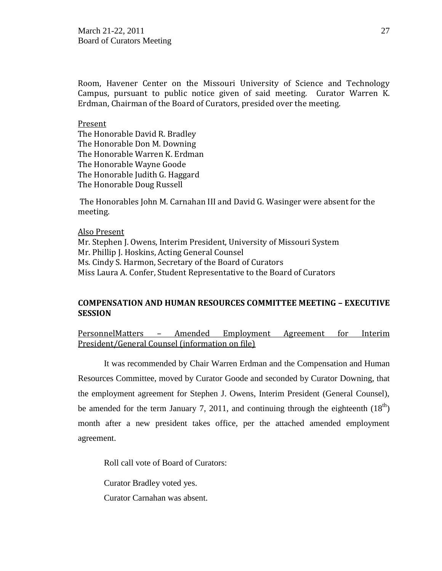Room, Havener Center on the Missouri University of Science and Technology Campus, pursuant to public notice given of said meeting. Curator Warren K. Erdman, Chairman of the Board of Curators, presided over the meeting.

#### Present

The Honorable David R. Bradley The Honorable Don M. Downing The Honorable Warren K. Erdman The Honorable Wayne Goode The Honorable Judith G. Haggard The Honorable Doug Russell

The Honorables John M. Carnahan III and David G. Wasinger were absent for the meeting.

#### Also Present

Mr. Stephen J. Owens, Interim President, University of Missouri System Mr. Phillip J. Hoskins, Acting General Counsel Ms. Cindy S. Harmon, Secretary of the Board of Curators Miss Laura A. Confer, Student Representative to the Board of Curators

#### **COMPENSATION AND HUMAN RESOURCES COMMITTEE MEETING – EXECUTIVE SESSION**

PersonnelMatters – Amended Employment Agreement for Interim President/General Counsel (information on file)

It was recommended by Chair Warren Erdman and the Compensation and Human Resources Committee, moved by Curator Goode and seconded by Curator Downing, that the employment agreement for Stephen J. Owens, Interim President (General Counsel), be amended for the term January 7, 2011, and continuing through the eighteenth  $(18<sup>th</sup>)$ month after a new president takes office, per the attached amended employment agreement.

Roll call vote of Board of Curators:

Curator Bradley voted yes.

Curator Carnahan was absent.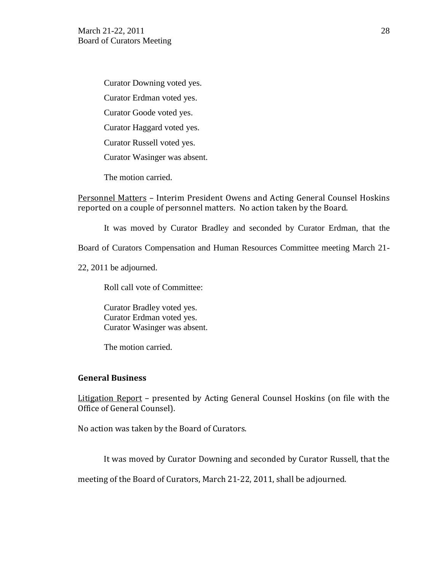Curator Downing voted yes. Curator Erdman voted yes. Curator Goode voted yes. Curator Haggard voted yes. Curator Russell voted yes. Curator Wasinger was absent.

The motion carried.

Personnel Matters – Interim President Owens and Acting General Counsel Hoskins reported on a couple of personnel matters. No action taken by the Board.

It was moved by Curator Bradley and seconded by Curator Erdman, that the

Board of Curators Compensation and Human Resources Committee meeting March 21-

22, 2011 be adjourned.

Roll call vote of Committee:

Curator Bradley voted yes. Curator Erdman voted yes. Curator Wasinger was absent.

The motion carried.

#### **General Business**

Litigation Report - presented by Acting General Counsel Hoskins (on file with the Office of General Counsel).

No action was taken by the Board of Curators.

It was moved by Curator Downing and seconded by Curator Russell, that the

meeting of the Board of Curators, March 21-22, 2011, shall be adjourned.